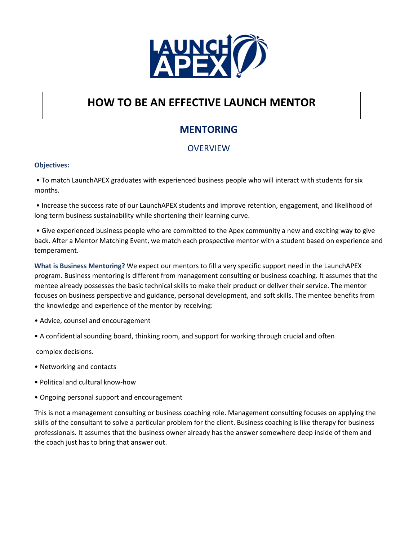

### **MENTORING**

### **OVERVIEW**

#### **Objectives:**

• To match LaunchAPEX graduates with experienced business people who will interact with students for six months.

• Increase the success rate of our LaunchAPEX students and improve retention, engagement, and likelihood of long term business sustainability while shortening their learning curve.

• Give experienced business people who are committed to the Apex community a new and exciting way to give back. After a Mentor Matching Event, we match each prospective mentor with a student based on experience and temperament.

**What is Business Mentoring?** We expect our mentors to fill a very specific support need in the LaunchAPEX program. Business mentoring is different from management consulting or business coaching. It assumes that the mentee already possesses the basic technical skills to make their product or deliver their service. The mentor focuses on business perspective and guidance, personal development, and soft skills. The mentee benefits from the knowledge and experience of the mentor by receiving:

- Advice, counsel and encouragement
- A confidential sounding board, thinking room, and support for working through crucial and often

complex decisions.

- Networking and contacts
- Political and cultural know-how
- Ongoing personal support and encouragement

This is not a management consulting or business coaching role. Management consulting focuses on applying the skills of the consultant to solve a particular problem for the client. Business coaching is like therapy for business professionals. It assumes that the business owner already has the answer somewhere deep inside of them and the coach just has to bring that answer out.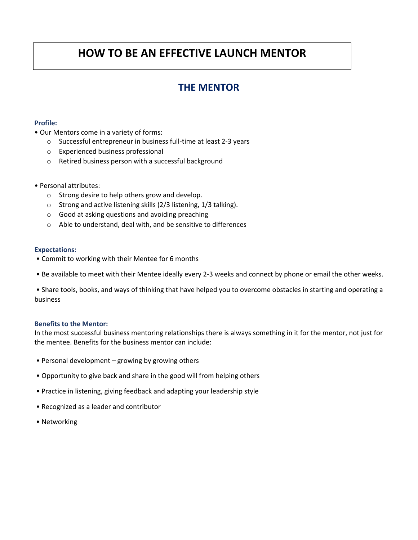### **THE MENTOR**

#### **Profile:**

- Our Mentors come in a variety of forms:
	- o Successful entrepreneur in business full-time at least 2-3 years
	- o Experienced business professional
	- o Retired business person with a successful background
- Personal attributes:
	- o Strong desire to help others grow and develop.
	- o Strong and active listening skills (2/3 listening, 1/3 talking).
	- o Good at asking questions and avoiding preaching
	- o Able to understand, deal with, and be sensitive to differences

#### **Expectations:**

- Commit to working with their Mentee for 6 months
- Be available to meet with their Mentee ideally every 2-3 weeks and connect by phone or email the other weeks.

• Share tools, books, and ways of thinking that have helped you to overcome obstacles in starting and operating a business

#### **Benefits to the Mentor:**

In the most successful business mentoring relationships there is always something in it for the mentor, not just for the mentee. Benefits for the business mentor can include:

- Personal development growing by growing others
- Opportunity to give back and share in the good will from helping others
- Practice in listening, giving feedback and adapting your leadership style
- Recognized as a leader and contributor
- Networking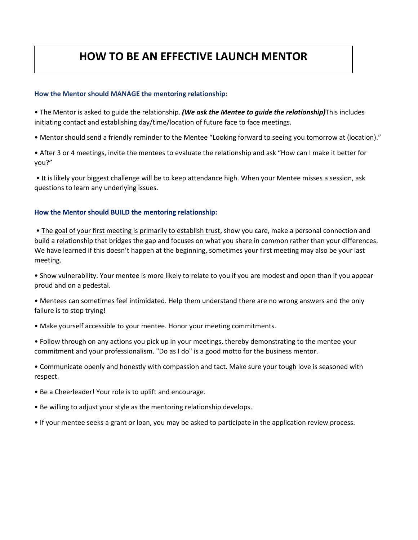#### **How the Mentor should MANAGE the mentoring relationship**:

• The Mentor is asked to guide the relationship. *(We ask the Mentee to guide the relationship)*This includes initiating contact and establishing day/time/location of future face to face meetings.

• Mentor should send a friendly reminder to the Mentee "Looking forward to seeing you tomorrow at (location)."

• After 3 or 4 meetings, invite the mentees to evaluate the relationship and ask "How can I make it better for you?"

• It is likely your biggest challenge will be to keep attendance high. When your Mentee misses a session, ask questions to learn any underlying issues.

#### **How the Mentor should BUILD the mentoring relationship:**

• The goal of your first meeting is primarily to establish trust, show you care, make a personal connection and build a relationship that bridges the gap and focuses on what you share in common rather than your differences. We have learned if this doesn't happen at the beginning, sometimes your first meeting may also be your last meeting.

• Show vulnerability. Your mentee is more likely to relate to you if you are modest and open than if you appear proud and on a pedestal.

• Mentees can sometimes feel intimidated. Help them understand there are no wrong answers and the only failure is to stop trying!

• Make yourself accessible to your mentee. Honor your meeting commitments.

• Follow through on any actions you pick up in your meetings, thereby demonstrating to the mentee your commitment and your professionalism. "Do as I do" is a good motto for the business mentor.

• Communicate openly and honestly with compassion and tact. Make sure your tough love is seasoned with respect.

• Be a Cheerleader! Your role is to uplift and encourage.

• Be willing to adjust your style as the mentoring relationship develops.

• If your mentee seeks a grant or loan, you may be asked to participate in the application review process.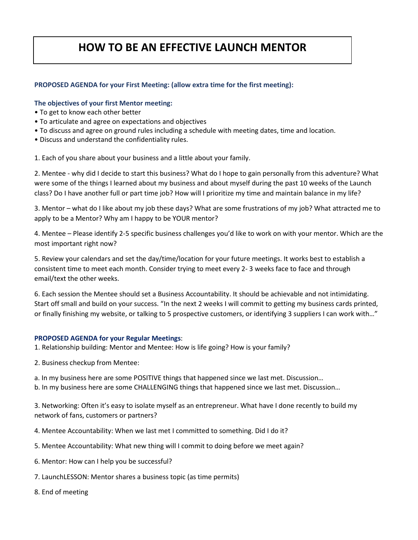#### **PROPOSED AGENDA for your First Meeting: (allow extra time for the first meeting):**

#### **The objectives of your first Mentor meeting:**

- To get to know each other better
- To articulate and agree on expectations and objectives
- To discuss and agree on ground rules including a schedule with meeting dates, time and location.
- Discuss and understand the confidentiality rules.

1. Each of you share about your business and a little about your family.

2. Mentee - why did I decide to start this business? What do I hope to gain personally from this adventure? What were some of the things I learned about my business and about myself during the past 10 weeks of the Launch class? Do I have another full or part time job? How will I prioritize my time and maintain balance in my life?

3. Mentor – what do I like about my job these days? What are some frustrations of my job? What attracted me to apply to be a Mentor? Why am I happy to be YOUR mentor?

4. Mentee – Please identify 2-5 specific business challenges you'd like to work on with your mentor. Which are the most important right now?

5. Review your calendars and set the day/time/location for your future meetings. It works best to establish a consistent time to meet each month. Consider trying to meet every 2- 3 weeks face to face and through email/text the other weeks.

6. Each session the Mentee should set a Business Accountability. It should be achievable and not intimidating. Start off small and build on your success. "In the next 2 weeks I will commit to getting my business cards printed, or finally finishing my website, or talking to 5 prospective customers, or identifying 3 suppliers I can work with…"

#### **PROPOSED AGENDA for your Regular Meetings**:

- 1. Relationship building: Mentor and Mentee: How is life going? How is your family?
- 2. Business checkup from Mentee:
- a. In my business here are some POSITIVE things that happened since we last met. Discussion…
- b. In my business here are some CHALLENGING things that happened since we last met. Discussion…

3. Networking: Often it's easy to isolate myself as an entrepreneur. What have I done recently to build my network of fans, customers or partners?

- 4. Mentee Accountability: When we last met I committed to something. Did I do it?
- 5. Mentee Accountability: What new thing will I commit to doing before we meet again?
- 6. Mentor: How can I help you be successful?
- 7. LaunchLESSON: Mentor shares a business topic (as time permits)
- 8. End of meeting